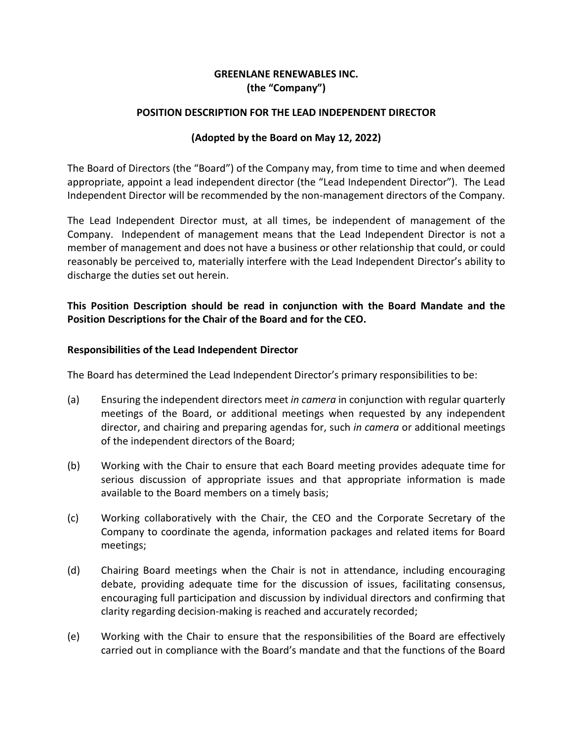# **GREENLANE RENEWABLES INC. (the "Company")**

#### **POSITION DESCRIPTION FOR THE LEAD INDEPENDENT DIRECTOR**

### **(Adopted by the Board on May 12, 2022)**

The Board of Directors (the "Board") of the Company may, from time to time and when deemed appropriate, appoint a lead independent director (the "Lead Independent Director"). The Lead Independent Director will be recommended by the non-management directors of the Company.

The Lead Independent Director must, at all times, be independent of management of the Company. Independent of management means that the Lead Independent Director is not a member of management and does not have a business or other relationship that could, or could reasonably be perceived to, materially interfere with the Lead Independent Director's ability to discharge the duties set out herein.

## **This Position Description should be read in conjunction with the Board Mandate and the Position Descriptions for the Chair of the Board and for the CEO.**

#### **Responsibilities of the Lead Independent Director**

The Board has determined the Lead Independent Director's primary responsibilities to be:

- (a) Ensuring the independent directors meet *in camera* in conjunction with regular quarterly meetings of the Board, or additional meetings when requested by any independent director, and chairing and preparing agendas for, such *in camera* or additional meetings of the independent directors of the Board;
- (b) Working with the Chair to ensure that each Board meeting provides adequate time for serious discussion of appropriate issues and that appropriate information is made available to the Board members on a timely basis;
- (c) Working collaboratively with the Chair, the CEO and the Corporate Secretary of the Company to coordinate the agenda, information packages and related items for Board meetings;
- (d) Chairing Board meetings when the Chair is not in attendance, including encouraging debate, providing adequate time for the discussion of issues, facilitating consensus, encouraging full participation and discussion by individual directors and confirming that clarity regarding decision-making is reached and accurately recorded;
- (e) Working with the Chair to ensure that the responsibilities of the Board are effectively carried out in compliance with the Board's mandate and that the functions of the Board